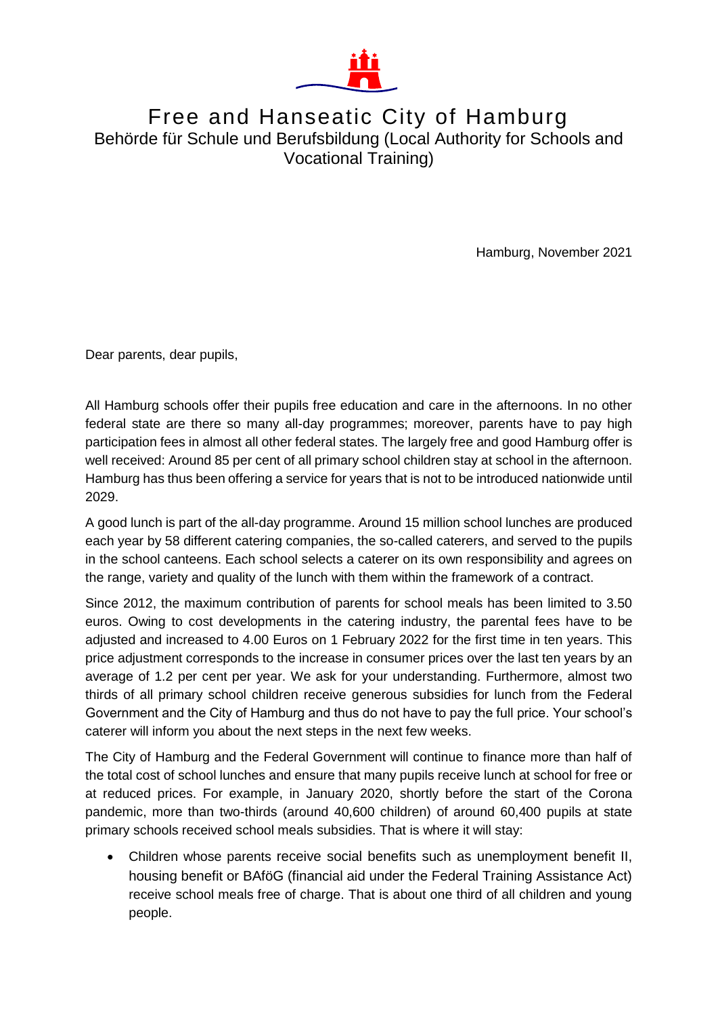

## Free and Hanseatic City of Hamburg Behörde für Schule und Berufsbildung (Local Authority for Schools and Vocational Training)

Hamburg, November 2021

Dear parents, dear pupils,

All Hamburg schools offer their pupils free education and care in the afternoons. In no other federal state are there so many all-day programmes; moreover, parents have to pay high participation fees in almost all other federal states. The largely free and good Hamburg offer is well received: Around 85 per cent of all primary school children stay at school in the afternoon. Hamburg has thus been offering a service for years that is not to be introduced nationwide until 2029.

A good lunch is part of the all-day programme. Around 15 million school lunches are produced each year by 58 different catering companies, the so-called caterers, and served to the pupils in the school canteens. Each school selects a caterer on its own responsibility and agrees on the range, variety and quality of the lunch with them within the framework of a contract.

Since 2012, the maximum contribution of parents for school meals has been limited to 3.50 euros. Owing to cost developments in the catering industry, the parental fees have to be adjusted and increased to 4.00 Euros on 1 February 2022 for the first time in ten years. This price adjustment corresponds to the increase in consumer prices over the last ten years by an average of 1.2 per cent per year. We ask for your understanding. Furthermore, almost two thirds of all primary school children receive generous subsidies for lunch from the Federal Government and the City of Hamburg and thus do not have to pay the full price. Your school's caterer will inform you about the next steps in the next few weeks.

The City of Hamburg and the Federal Government will continue to finance more than half of the total cost of school lunches and ensure that many pupils receive lunch at school for free or at reduced prices. For example, in January 2020, shortly before the start of the Corona pandemic, more than two-thirds (around 40,600 children) of around 60,400 pupils at state primary schools received school meals subsidies. That is where it will stay:

 Children whose parents receive social benefits such as unemployment benefit II, housing benefit or BAföG (financial aid under the Federal Training Assistance Act) receive school meals free of charge. That is about one third of all children and young people.